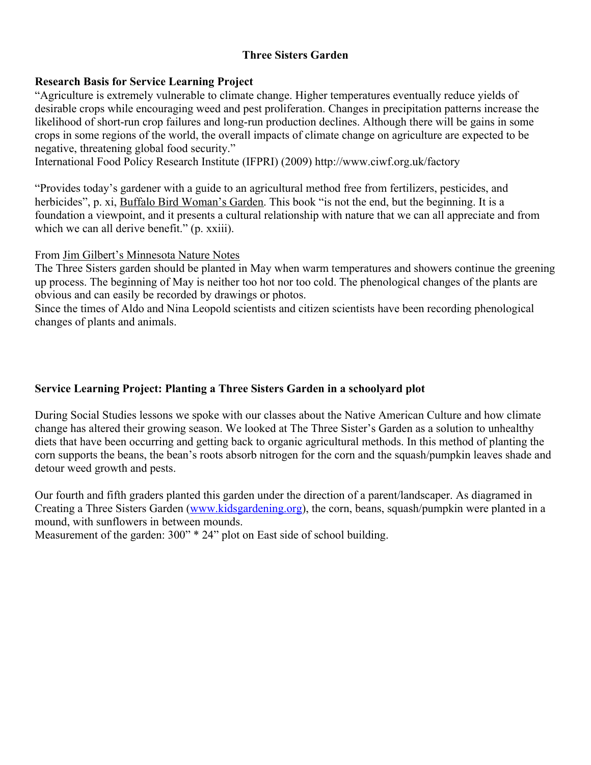# **Three Sisters Garden**

#### **Research Basis for Service Learning Project**

"Agriculture is extremely vulnerable to climate change. Higher temperatures eventually reduce yields of desirable crops while encouraging weed and pest proliferation. Changes in precipitation patterns increase the likelihood of short-run crop failures and long-run production declines. Although there will be gains in some crops in some regions of the world, the overall impacts of climate change on agriculture are expected to be negative, threatening global food security."

International Food Policy Research Institute (IFPRI) (2009) http://www.ciwf.org.uk/factory

"Provides today's gardener with a guide to an agricultural method free from fertilizers, pesticides, and herbicides", p. xi, Buffalo Bird Woman's Garden. This book "is not the end, but the beginning. It is a foundation a viewpoint, and it presents a cultural relationship with nature that we can all appreciate and from which we can all derive benefit." (p. xxiii).

From Jim Gilbert's Minnesota Nature Notes

The Three Sisters garden should be planted in May when warm temperatures and showers continue the greening up process. The beginning of May is neither too hot nor too cold. The phenological changes of the plants are obvious and can easily be recorded by drawings or photos.

Since the times of Aldo and Nina Leopold scientists and citizen scientists have been recording phenological changes of plants and animals.

# **Service Learning Project: Planting a Three Sisters Garden in a schoolyard plot**

During Social Studies lessons we spoke with our classes about the Native American Culture and how climate change has altered their growing season. We looked at The Three Sister's Garden as a solution to unhealthy diets that have been occurring and getting back to organic agricultural methods. In this method of planting the corn supports the beans, the bean's roots absorb nitrogen for the corn and the squash/pumpkin leaves shade and detour weed growth and pests.

Our fourth and fifth graders planted this garden under the direction of a parent/landscaper. As diagramed in Creating a Three Sisters Garden (www.kidsgardening.org), the corn, beans, squash/pumpkin were planted in a mound, with sunflowers in between mounds.

Measurement of the garden: 300" \* 24" plot on East side of school building.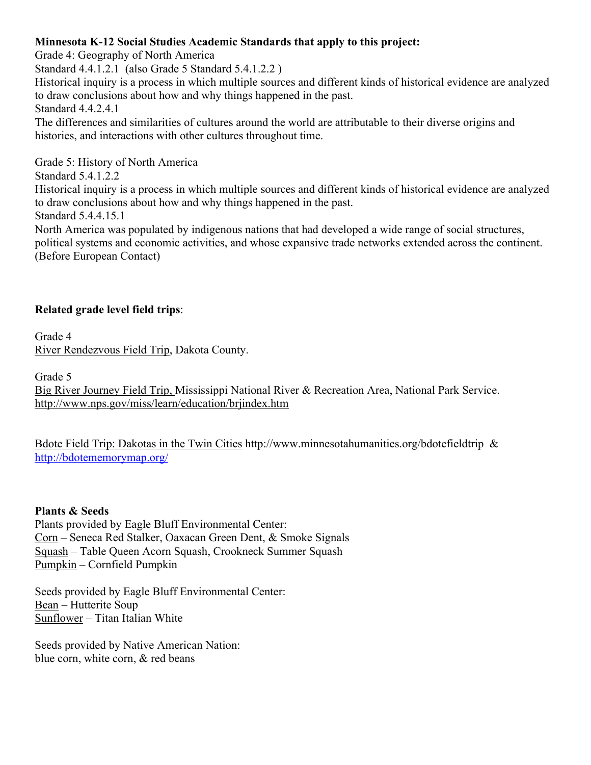### **Minnesota K-12 Social Studies Academic Standards that apply to this project:**

Grade 4: Geography of North America

Standard 4.4.1.2.1 (also Grade 5 Standard 5.4.1.2.2 )

Historical inquiry is a process in which multiple sources and different kinds of historical evidence are analyzed to draw conclusions about how and why things happened in the past. Standard 4.4.2.4.1

The differences and similarities of cultures around the world are attributable to their diverse origins and histories, and interactions with other cultures throughout time.

Grade 5: History of North America

Standard 5.4.1.2.2

Historical inquiry is a process in which multiple sources and different kinds of historical evidence are analyzed to draw conclusions about how and why things happened in the past.

Standard 5.4.4.15.1

North America was populated by indigenous nations that had developed a wide range of social structures, political systems and economic activities, and whose expansive trade networks extended across the continent. (Before European Contact)

# **Related grade level field trips**:

Grade 4 River Rendezvous Field Trip, Dakota County.

Grade 5

Big River Journey Field Trip, Mississippi National River & Recreation Area, National Park Service. http://www.nps.gov/miss/learn/education/brjindex.htm

Bdote Field Trip: Dakotas in the Twin Cities http://www.minnesotahumanities.org/bdotefieldtrip & http://bdotememorymap.org/

#### **Plants & Seeds**

Plants provided by Eagle Bluff Environmental Center: Corn – Seneca Red Stalker, Oaxacan Green Dent, & Smoke Signals Squash – Table Queen Acorn Squash, Crookneck Summer Squash Pumpkin – Cornfield Pumpkin

Seeds provided by Eagle Bluff Environmental Center: Bean – Hutterite Soup Sunflower – Titan Italian White

Seeds provided by Native American Nation: blue corn, white corn, & red beans